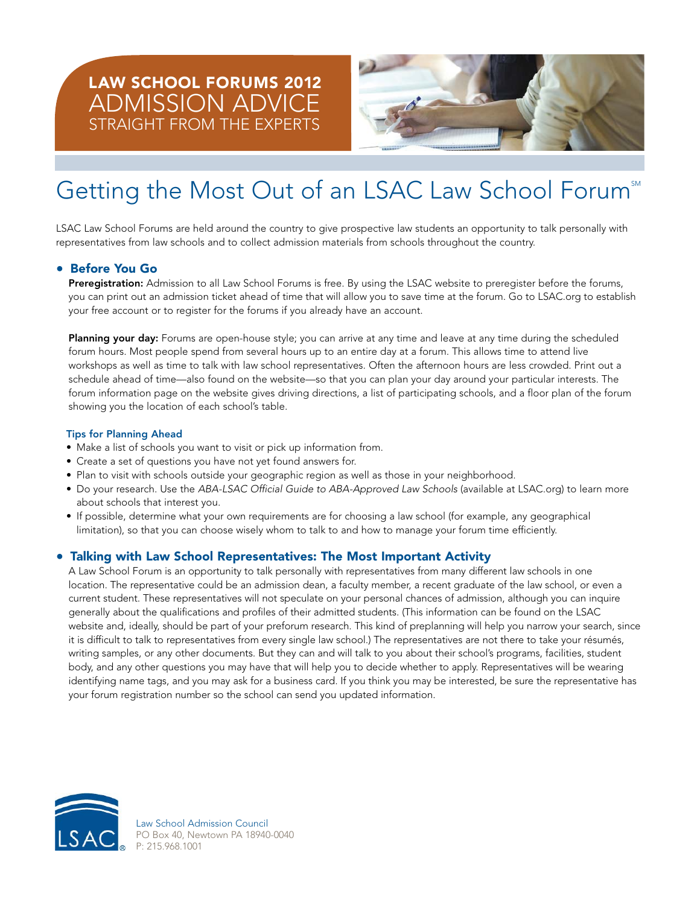# **LAW SCHOOL FORUMS 2012 ADMISSION ADVICE** STRAIGHT FROM THE EXPERTS



# Getting the Most Out of an LSAC Law School Forum®

LSAC Law School Forums are held around the country to give prospective law students an opportunity to talk personally with representatives from law schools and to collect admission materials from schools throughout the country.

# • **Before You Go**

**Preregistration:** Admission to all Law School Forums is free. By using the LSAC website to preregister before the forums, you can print out an admission ticket ahead of time that will allow you to save time at the forum. Go to LSAC.org to establish your free account or to register for the forums if you already have an account.

**Planning your day:** Forums are open-house style; you can arrive at any time and leave at any time during the scheduled forum hours. Most people spend from several hours up to an entire day at a forum. This allows time to attend live workshops as well as time to talk with law school representatives. Often the afternoon hours are less crowded. Print out a schedule ahead of time—also found on the website—so that you can plan your day around your particular interests. The forum information page on the website gives driving directions, a list of participating schools, and a floor plan of the forum showing you the location of each school's table.

#### **Tips for Planning Ahead**

- Make a list of schools you want to visit or pick up information from.
- Create a set of questions you have not yet found answers for.
- Plan to visit with schools outside your geographic region as well as those in your neighborhood.
- Do your research. Use the ABA-LSAC Official Guide to ABA-Approved Law Schools (available at LSAC.org) to learn more about schools that interest you.
- If possible, determine what your own requirements are for choosing a law school (for example, any geographical limitation), so that you can choose wisely whom to talk to and how to manage your forum time efficiently.

#### • **Talking with Law School Representatives: The Most Important Activity**

A Law School Forum is an opportunity to talk personally with representatives from many different law schools in one location. The representative could be an admission dean, a faculty member, a recent graduate of the law school, or even a current student. These representatives will not speculate on your personal chances of admission, although you can inquire generally about the qualifications and profiles of their admitted students. (This information can be found on the LSAC website and, ideally, should be part of your preforum research. This kind of preplanning will help you narrow your search, since it is difficult to talk to representatives from every single law school.) The representatives are not there to take your résumés, writing samples, or any other documents. But they can and will talk to you about their school's programs, facilities, student body, and any other questions you may have that will help you to decide whether to apply. Representatives will be wearing identifying name tags, and you may ask for a business card. If you think you may be interested, be sure the representative has your forum registration number so the school can send you updated information.